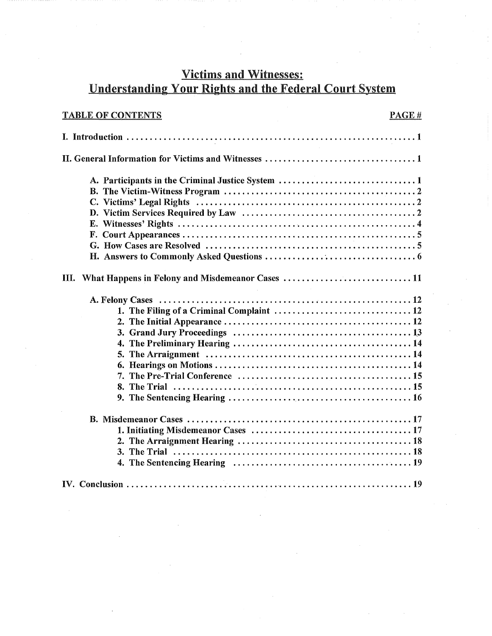# Victims and Witnesses: Understanding Your Rights and the Federal Court System

| <b>TABLE OF CONTENTS</b>                               | PAGE# |
|--------------------------------------------------------|-------|
|                                                        |       |
|                                                        |       |
|                                                        |       |
| What Happens in Felony and Misdemeanor Cases  11<br>Ш. |       |
| 1. The Filing of a Criminal Complaint  12              |       |
|                                                        |       |
|                                                        |       |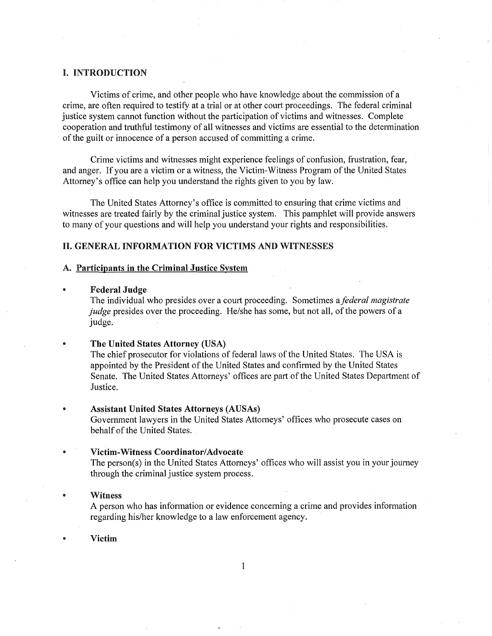### I. INTRODUCTION

Victims of crime, and other people who have knowledge about the commission of a crime, are often required to testify at a trial or at other court proceedings. The federal criminal justice system cannot function without the participation of victims and witnesses. Complete cooperation and truthful testimony of all witnesses and victims are essential to the determination of the guilt or innocence of a person accused of committing a crime.

Crime victims and witnesses might experience feelings of confusion, frustration, fear, and anger. If you are a victim or a witness, the Victim-Witness Program of the United States Attorney's office can help you understand the rights given to you by law.

The United States Attorney's office is committed to ensuring that crime victims and witnesses are treated fairly by the criminal justice system. This pamphlet will provide answers to many of your questions and will help you understand your rights and responsibilities.

### II. GENERAL INFORMATION FOR VICTIMS AND WITNESSES

#### A. Participants in the Criminal Justice System

#### **Federal Judge**

The individual who presides over a court proceeding. Sometimes a *federal magistrate judge* presides over the proceeding. He/she has some, but not all, of the powers of a judge.

### The United States Attorney (USA)

The chief prosecutor for violations of federal laws of the United States. The USA is appointed by the President of the United States and confirmed by the United States Senate. The United States Attorneys' offices are part of the United States Department of Justice.

#### Assistant United States Attorneys (AUSAs)

Government lawyers in the United States Attorneys' offices who prosecute cases on behalf of the United States.

#### Victim-Witness Coordinator/Advocate

The person(s) in the United States Attorneys' offices who will assist you in your journey through the criminal justice system process.

### Witness

A person who has information or evidence concerning a crime and provides information regarding his/her knowledge to a law enforcement agency.

1

Victim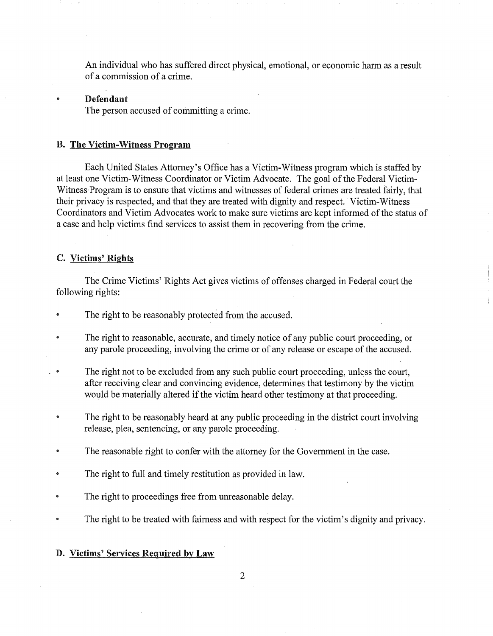An individual who has suffered direct physical, emotional, or economic harm as a result of a commission of a crime.

#### Defendant

The person accused of committing a crime.

### B. The Victim-Witness Program

Each United States Attorney's Office has a Victim-Witness program which is staffed by at least one Victim-Witness Coordinator or Victim Advocate. The goal of the Federal Victim-Witness Program is to ensure that victims and witnesses of federal crimes are treated fairly, that their privacy is respected, and that they are treated with dignity and respect. Victim-Witness Coordinators and Victim Advocates work to make sure victims are kept informed of the status of a case and help victims find services to assist them in recovering from the crime.

# C. Victims' Rights

The Crime Victims' Rights Act gives victims of offenses charged in Federal court the following rights:

- The right to be reasonably protected from the accused.
- The right to reasonable, accurate, and timely notice of any public court proceeding, or any parole proceeding, involving the crime or of any release or escape of the accused.
- The right not to be excluded from any such public court proceeding, unless the court, after receiving clear and convincing evidence, determines that testimony by the victim would be materially altered if the victim heard other testimony at that proceeding.
- The right to be reasonably heard at any public proceeding in the district court involving release, plea, sentencing, or any parole proceeding.
- The reasonable right to confer with the attorney for the Government in the case.
- The right to full and timely restitution as provided in law.
- The right to proceedings free from umeasonable delay.
- The right to be treated with fairness and with respect for the victim's dignity and privacy.

### D. Victims' Services Required by Law

2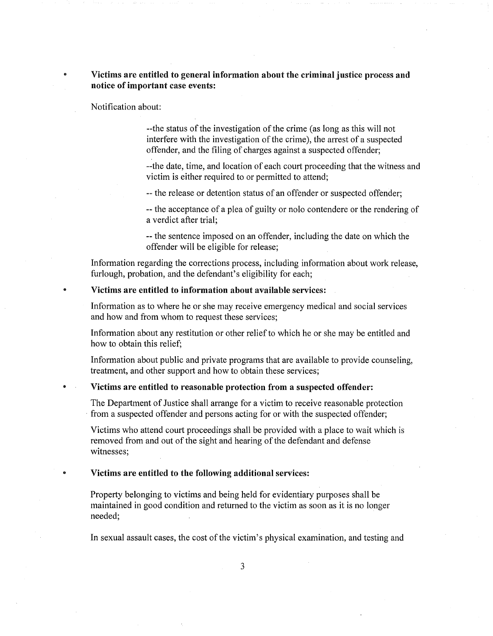# Victims are entitled to general information about the criminal justice process and notice of important case events:

Notification about:

 $\ddot{\mathbf{e}}$ 

--the status of the investigation of the crime (as long as this will not interfere with the investigation of the crime), the arrest of a suspected offender, and the filing of charges against a suspected offender;

--the date, time, and location of each court proceeding that the witness and victim is either required to or permitted to attend;

-- the release or detention status of an offender or suspected offender;

-- the acceptance of a plea of guilty or nolo contendere or the rendering of a verdict after trial;

--the sentence imposed on an offender, including the date on which the offender will be eligible for release;

Information regarding the corrections process, including information about work release, furlough, probation, and the defendant's eligibility for each;

### Victims are entitled to information about available services:

Information as to where he or she may receive emergency medical and social services and how and from whom to request these services;

Information about any restitution or other relief to which he or she may be entitled and how to obtain this relief;

Information about public and private programs that are available to provide counseling, treatment, and other support and how to obtain these services;

### Victims are entitled to reasonable protection from a suspected offender:

The Department of Justice shall arrange for a victim to receive reasonable protection from a suspected offender and persons acting for or with the suspected offender;

Victims who attend court proceedings shall be provided with a place to wait which is removed from and out of the sight and hearing of the defendant and defense witnesses;

Victims are entitled to the following additional services:

Property belonging to victims and being held for evidentiary purposes shall be maintained in good condition and returned to the victim as soon as it is no longer needed;

In sexual assault cases, the cost of the victim's physical examination, and testing and

3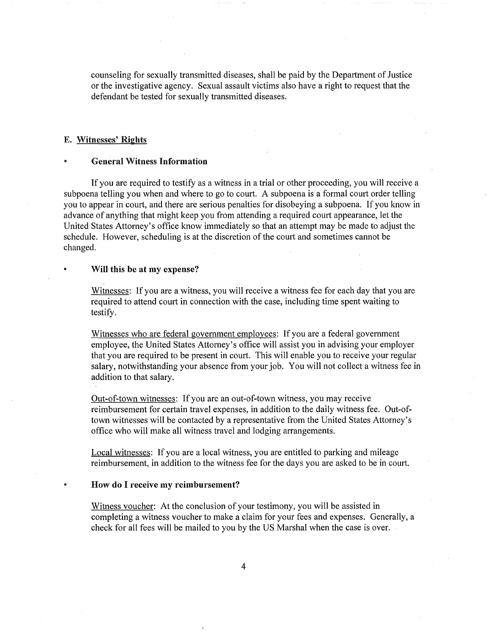counseling for sexually transmitted diseases, shall be paid by the Department of Justice or the investigative agency. Sexual assault victims also have a right to request that the defendant be tested for sexually transmitted diseases.

### E. Witnesses' Rights

### General Witness Information

If you are required to testify as a witness in a trial or other proceeding, you will receive a subpoena telling you when and where to go to court. A subpoena is a formal court order telling you to appear in court, and there are serious penalties for disobeying a subpoena. If you know in advance of anything that might keep you from attending a required court appearance, let the United States Attorney's office know immediately so that an attempt may be made to adjust the schedule. However, scheduling is at the discretion of the court and sometimes cannot be changed.

#### Will this be at my expense?

Witnesses: If you are a witness, you will receive a witness fee for each day that you are required to attend court in connection with the case, including time spent waiting to testify.

Witnesses who are federal government employees: If you are a federal government employee, the United States Attorney's office will assist you in advising your employer that you are required to be present in court. This will enable you to receive your regular salary, notwithstanding your absence from your job. You will not collect a witness fee in addition to that salary.

Out-of-town witnesses: If you are an out-of-town witness, you may receive reimbursement for certain travel expenses, in addition to the daily witness fee. town witnesses will be contacted by a representative from the United States Attorney's office who will make all witness travel and lodging arrangements.

Local witnesses: If you are a local witness, you are entitled to parking and mileage reimbursement, in addition to the witness fee for the days you are asked to be in court.

#### • How do I receive my reimbursement?

Witness voucher: At the conclusion of your testimony, you will be assisted in completing a witness voucher to make a claim for your fees and expenses. Generally, a check for all fees will be mailed to you by the US Marshal when the case is over.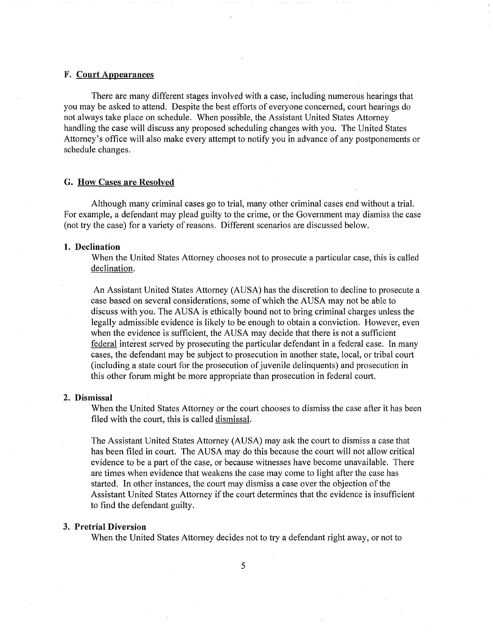### F. Court Appearances

There are many different stages involved with a case, including numerous hearings that you may be asked to attend. Despite the best efforts of everyone concerned, court hearings do not always take place on schedule. When possible, the Assistant United States Attorney handling the case will discuss any proposed scheduling changes with you. The United States Attorney's office will also make every attempt to notify you in advance of any postponements or schedule changes.

#### G. How Cases are Resolved

Although many criminal cases go to trial, many other criminal cases end without a trial. For example, a defendant may plead guilty to the crime, or the Government may dismiss the case (not try the case) for a variety of reasons. Different scenarios are discussed below.

### **1. Declination**

When the United States Attorney chooses not to prosecute a particular case, this is called declination.

An Assistant United States Attorney (AUSA) has the discretion to decline to prosecute a case based on several considerations, some of which the AUSA may not be able to discuss with you. The AUSA is ethically bound not to bring criminal charges unless the legally admissible evidence is likely to be enough to obtain a conviction. However, even when the evidence is sufficient, the AUSA may decide that there is not a sufficient federal interest served by prosecuting the particular defendant in a federal case. In many cases, the defendant may be subject to prosecution in another state, local, or tribal court (including a state court for the prosecution of juvenile delinquents) and prosecution in this other forum might be more appropriate than prosecution in federal court.

#### 2. Dismissal

When the United States Attorney or the court chooses to dismiss the case after it has been filed with the court, this is called dismissal.

The Assistant United States Attorney (AUSA) may ask the court to dismiss a case that has been filed in court. The AUSA may do this because the court will not allow critical evidence to be a part of the case, or because witnesses have become unavailable. There are times when evidence that weakens the case may come to light after the case has started. In other instances, the court may dismiss a case over the objection of the Assistant United States Attorney if the court determines that the evidence is insufficient to find the defendant guilty.

### 3. Pretrial Diversion

When the United States Attorney decides not to try a defendant right away, or not to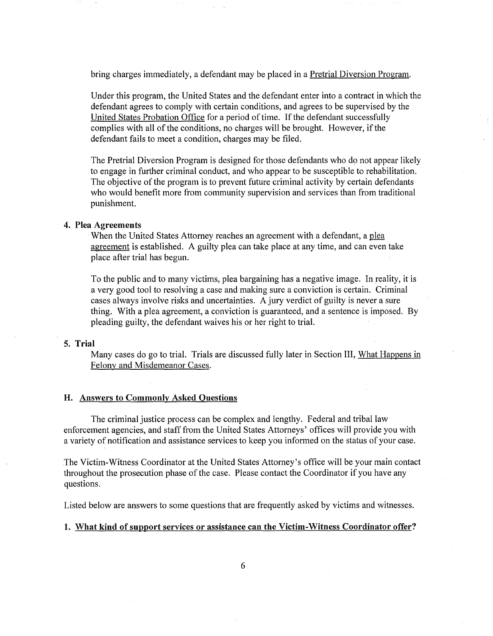bring charges immediately, a defendant may be placed in a Pretrial Diversion Program.

Under this program, the United States and the defendant enter into a contract in which the defendant agrees to comply with certain conditions, and agrees to be supervised by the United States Probation Office for a period of time. If the defendant successfully complies with all of the conditions, no charges will be brought. However, if the defendant fails to meet a condition, charges may be filed.

The Pretrial Diversion Program is designed for those defendants who do not appear likely to engage in further criminal conduct, and who appear to be susceptible to rehabilitation. The objective of the program is to prevent future criminal activity by certain defendants who would benefit more from community supervision and services than from traditional punishment.

### 4. Plea Agreements

When the United States Attorney reaches an agreement with a defendant, a plea agreement is established. A guilty plea can take place at any time, and can even take place after trial has begun.

To the public and to many victims; plea bargaining has a negative image. In reality, it is a very good tool to resolving a case and making sure a conviction is certain. Criminal cases always involve risks and uncertainties. A jury verdict of guilty is never a sure thing. With a plea agreement, a conviction is guaranteed, and a sentence is imposed. By pleading guilty, the defendant waives his or her right to trial.

### 5. **Trial**

Many cases do go to trial. Trials are discussed fully later in Section III, What Happens in Felony and Misdemeanor Cases.

### H. Answers to Commonly Asked Questions

The criminal justice process can be complex and lengthy. Federal and tribal law enforcement agencies, and staff from the United States Attorneys' offices will provide you with a variety of notification and assistance services to keep you informed on the status of your case.

The Victim-Witness Coordinator at the United States Attorney's office will be your main contact throughout the prosecution phase of the case. Please contact the Coordinator if you have any questions.

Listed below are answers to some questions that are frequently asked by victims and witnesses.

### 1. What kind of support services or assistance can the Victim-Witness Coordinator offer?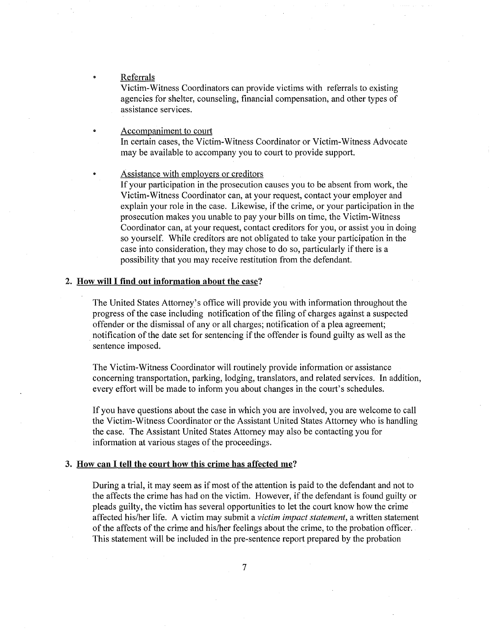Referrals

Victim-Witness Coordinators can provide victims with referrals to existing agencies for shelter, counseling, financial compensation, and other types of assistance services.

Accompaniment to court In certain cases, the Victim-Witness Coordinator or Victim-Witness Advocate may be available to accompany you to court to provide support.

Assistance with employers or creditors

If your participation in the prosecution causes you to be absent from work, the Victim-Witness Coordinator can, at your request, contact your employer and explain your role in the case. Likewise, if the crime, or your participation in the prosecution makes you unable to pay your bills on time, the Victim-Witness Coordinator can, at your request, contact creditors for you, or assist you in doing so yourself. While creditors are not obligated to take your participation in the case into consideration, they may chose to do so, particularly if there is a possibility that you may receive restitution from the defendant.

### 2. How will I find out information about the case?

The United States Attorney's office will provide you with information throughout the progress of the case including notification of the filing of charges against a suspected offender or the dismissal of any or all charges; notification of a plea agreement; notification of the date set for sentencing if the offender is found guilty as well as the sentence imposed.

The Victim-Witness Coordinator will routinely provide information or assistance concerning transportation, parking, lodging, translators, and related services. In addition, every effort will be made to inform you about changes in the court's schedules.

If you have questions about the case in which you are involved, you are welcome to call the Victim-Witness Coordinator or the Assistant United States Attorney who is handling the case. The Assistant United States Attorney may also be contacting you for information at various stages of the proceedings.

### 3. How can I tell the court how this crime has affected me?

During a trial, it may seem as if most of the attention is paid to the defendant and not to the affects the crime has had on the victim. However, if the defendant is found guilty or pleads guilty, the victim has several opportunities to let the court know how the crime affected his/her life. A victim may submit a *victim impact statement,* a written statement of the affects of the crime and his/her feelings about the crime, to the probation officer. This statement will be included in the pre-sentence report prepared by the probation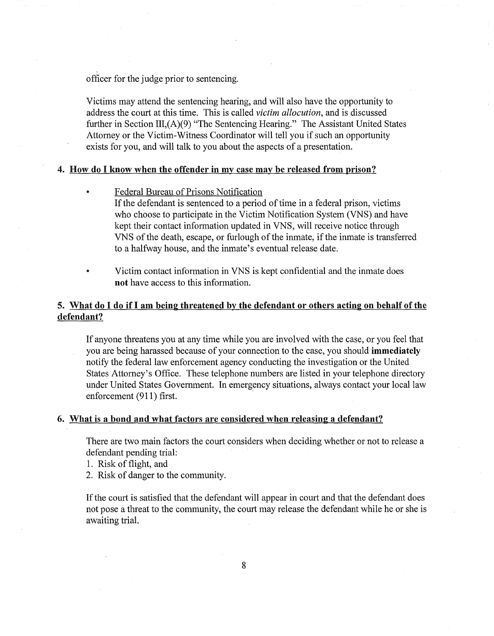officer for the judge prior to sentencing.

Victims may attend the sentencing hearing, and will also have the opportunity to address the court at this time. This is called *victim allocution,* and is discussed further in Section III,(A)(9) "The Sentencing Hearing." The Assistant United States Attorney or the Victim-Witness Coordinator will tell you if such an opportunity exists for you, and will talk to you about the aspects of a presentation.

# 4. How do I know when the offender in my case may be released from prison?

- Federal Bureau of Prisons Notification If the defendant is sentenced to a period of time in a federal prison, victims who choose to participate in the Victim Notification System (VNS) and have kept their contact information updated in VNS, will receive notice through VNS of the death, escape, or furlough of the inmate, if the inmate is transferred to a halfway house, and the inmate's eventual release date.
- Victim contact information in VNS is kept confidential and the inmate does  $\bullet$ not have access to this information.

# 5. What do I do if I am being threatened by the defendant or others acting on behalf of the defendant?

If anyone threatens you at any time while you are involved with the case, or you feel that you are being harassed because of your connection to the case, you should immediately notify the federal law enforcement agency conducting the investigation or the United States Attorney's Office. These telephone numbers are listed in your telephone directory under United States Government. In emergency situations, always contact your local law enforcement (911) first.

### 6. What is a bond and what factors are considered when releasing a defendant?

There are two main factors the court considers when deciding whether or not to release a defendant pending trial:

- 1. Risk of flight, and
- 2. Risk of danger to the community.

If the court is satisfied that the defendant will appear in court and that the defendant does not pose a threat to the community, the court may release the defendant while he or she is awaiting trial.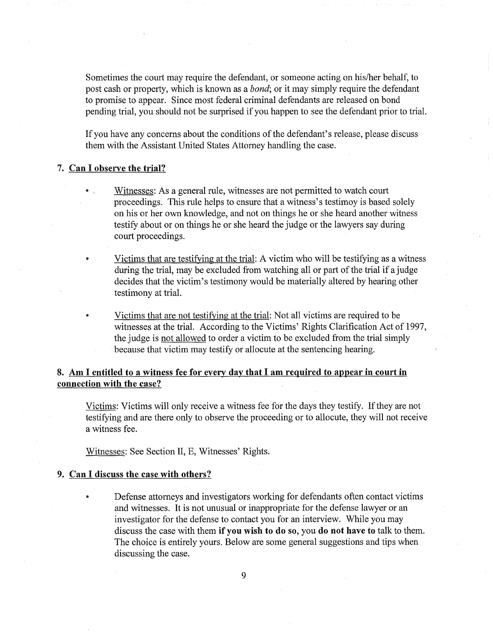Sometimes the court may require the defendant, or someone acting on his/her behalf, to post cash or property, which is known as a *bond;* or it may simply require the defendant to promise to appear. Since most federal criminal defendants are released on bond pending trial, you should not be surprised if you happen to see the defendant prior to trial.

If you have any concerns about the conditions of the defendant's release, please discuss them with the Assistant United States Attorney handling the case.

### 7. Can I observe the trial?

- Witnesses: As a general rule, witnesses are not permitted to watch court proceedings. This rule helps to ensure that a witness's testimoy is based solely on his or her own knowledge, and not on things he or she heard another witness testify about or on things he or she heard the judge or the lawyers say during court proceedings.
- Victims that are testifying at the trial: A victim who will be testifying as a witness during the trial, may be excluded from watching all or part of the trial if a judge decides that the victim's testimony would be materially altered by hearing other testimony at trial.
- Victims that are not testifying at the trial: Not all victims are required to be witnesses at the trial. According to the Victims' Rights Clarification Act of 1997, the judge is not allowed to order a victim to be excluded from the trial simply because that victim may testify or allocute at the sentencing hearing.

# 8. Am I entitled to a witness fee for every day **that** I am required to appear in court in connection with the case?

Victims: Victims will only receive a witness fee for the days they testify. If they are not testifying and are there only to observe the proceeding or to allocute, they will not receive a witness fee.

Witnesses: See Section II, E, Witnesses' Rights.

### 9. Can I discuss the case with others?

Defense attorneys and investigators working for defendants often contact victims and witnesses. It is not unusual or inappropriate for the defense lawyer or an investigator for the defense to contact you for an interview. While you may discuss the case with them if you wish to do so, you do not have to talk to them. The choice is entirely yours. Below are some general suggestions and tips when discussing the case.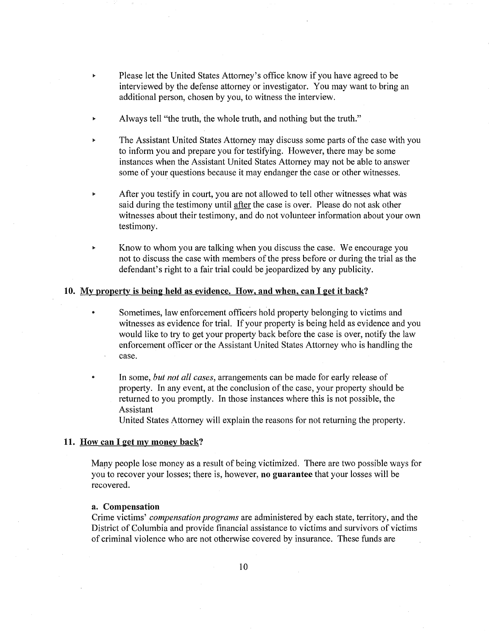- Please let the United States Attorney's office know if you have agreed to be interviewed by the defense attorney or investigator. You may want to bring an additional person, chosen by you, to witness the interview.
- Always tell "the truth, the whole truth, and nothing but the truth."
- The Assistant United States Attorney may discuss some parts of the case with you to inform you and prepare you for testifying. However, there may be some instances when the Assistant United States Attorney may not be able to answer some of your questions because it may endanger the case or other witnesses.
- After you testify in court, you are not allowed to tell other witnesses what was said during the testimony until after the case is over. Please do not ask other witnesses about their testimony, and do not volunteer information about your own testimony.
- Know to whom you are talking when you discuss the case. We encourage you not to discuss the case with members of the press before or during the trial as the defendant's right to a fair trial could be jeopardized by any publicity.

### 10. My property is being held as evidence. How, and when, can I get it back?

- Sometimes, law enforcement officers hold property belonging to victims and witnesses as evidence for trial. If your property is being held as evidence and you would like to try to get your property back before the case is over, notify the law enforcement officer or the Assistant United States Attorney who is handling the case.
	- In some, *but not all cases,* arrangements can be made for early release of property. In any event, at the conclusion of the case, your property should be returned to you promptly. In those instances where this is not possible, the Assistant

United States Attorney will explain the reasons for not returning the property.

### 11. How can I get my money back?

Many people lose money as a result of being victimized. There are two possible ways for you to recover your losses; there is, however, no guarantee that your losses will be recovered.

### a. Compensation

Crime victims' *compensation programs* are administered by each state, territory, and the District of Columbia and provide financial assistance to victims and survivors of victims of criminal violence who are not otherwise covered by insurance. These funds are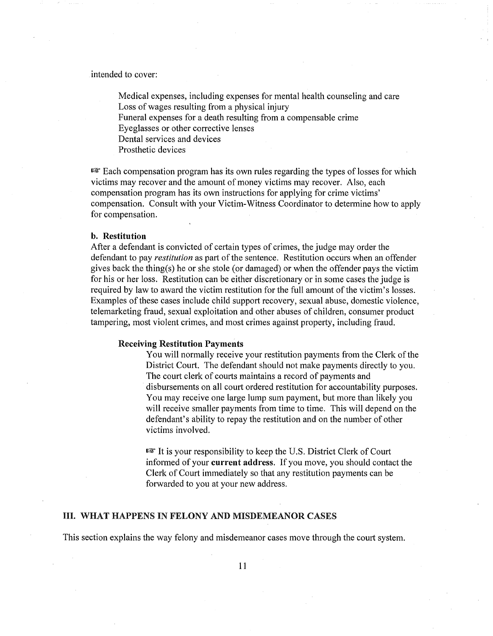intended to cover:

Medical expenses, including expenses for mental health counseling and care Loss of wages resulting from a physical injury Funeral expenses for a death resulting from a compensable crime Eyeglasses or other corrective lenses Dental services and devices

Prosthetic devices

 $E^{\text{max}}$  Each compensation program has its own rules regarding the types of losses for which victims may recover and the amount of money victims may recover. Also, each compensation program has its own instructions for applying for crime victims' compensation. Consult with your Victim-Witness Coordinator to determine how to apply for compensation.

### b. Restitution

After a defendant is convicted of certain types of crimes, the judge may order the defendant to pay *restitution* as part of the sentence. Restitution occurs when an offender gives back the thing(s) he or she stole (or damaged) or when the offender pays the victim for his or her loss. Restitution can be either discretionary or in some cases the judge is required by law to award the victim restitution for the full amount of the victim's losses. Examples of these cases include child support recovery, sexual abuse, domestic violence, telemarketing fraud, sexual exploitation and other abuses of children, consumer product tampering, most violent crimes, and most crimes against property, including fraud.

#### Receiving Restitution Payments

You will normally receive your restitution payments from the Clerk of the District Court. The defendant should not make payments directly to you. The court clerk of courts maintains a record of payments and disbursements on all court ordered restitution for accountability purposes. You may receive one large lump sum payment, but more than likely you will receive smaller payments from time to time. This will depend on the defendant's ability to repay the restitution and on the number of other victims involved.

 $\mathbb{R}$  It is your responsibility to keep the U.S. District Clerk of Court informed of your current address. If you move, you should contact the Clerk of Court immediately so that any restitution payments can be forwarded to you at your new address.

### III. WHAT HAPPENS IN FELONY AND MISDEMEANOR CASES

This section explains the way felony and misdemeanor cases move through the court system.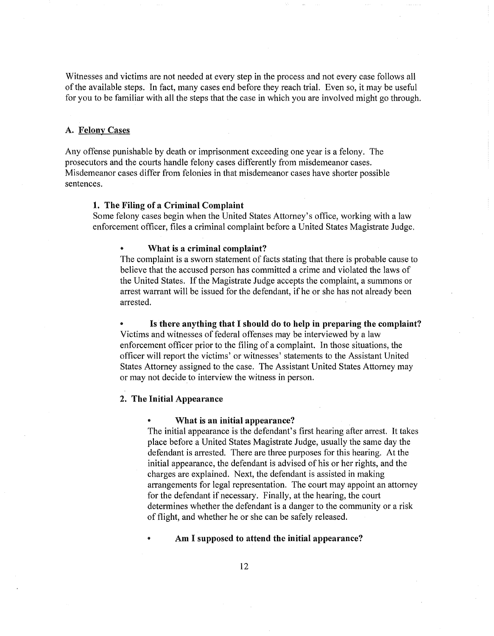Witnesses and victims are not needed at every step in the process and not every case follows all of the available steps. In fact, many cases end before they reach trial. Even so, it may be useful for you to be familiar with all the steps that the case in which you are involved might go through.

### A. Felony Cases

Any offense punishable by death or imprisonment exceeding one year is a felony. The prosecutors and the courts handle felony cases differently from misdemeanor cases. Misdemeanor cases differ from felonies in that misdemeanor cases have shorter possible sentences.

### 1. The Filing of a Criminal Complaint

Some felony cases begin when the United States Attorney's office, working with a law enforcement officer, files a criminal complaint before a United States Magistrate Judge.

#### What is a criminal complaint?

The complaint is a sworn statement of facts stating that there is probable cause to believe that the accused person has committed a crime and violated the laws of the United States. If the Magistrate Judge accepts the complaint, a summons or arrest warrant will be issued for the defendant, if he or she has not already been arrested.

Is there anything that I should do to help in preparing the complaint? Victims and witnesses of federal offenses may be interviewed by a law enforcement officer prior to the filing of a complaint. In those situations, the officer will report the victims' or witnesses' statements to the Assistant United States Attorney assigned to the case. The Assistant United States Attorney may or may not decide to interview the witness in person.

### 2. The Initial Appearance

#### What is an initial appearance?

The initial appearance is the defendant's first hearing after arrest. It takes place before a United States Magistrate Judge, usually the same day the defendant is arrested. There are three purposes for this hearing. At the initial appearance, the defendant is advised of his or her rights, and the charges are explained. Next, the defendant is assisted in making arrangements for legal representation. The court may appoint an attorney for the defendant if necessary. Finally, at the hearing, the court determines whether the defendant is a danger to the community or a risk of flight, and whether he or she can be safely released.

#### Am I supposed to attend the initial appearance?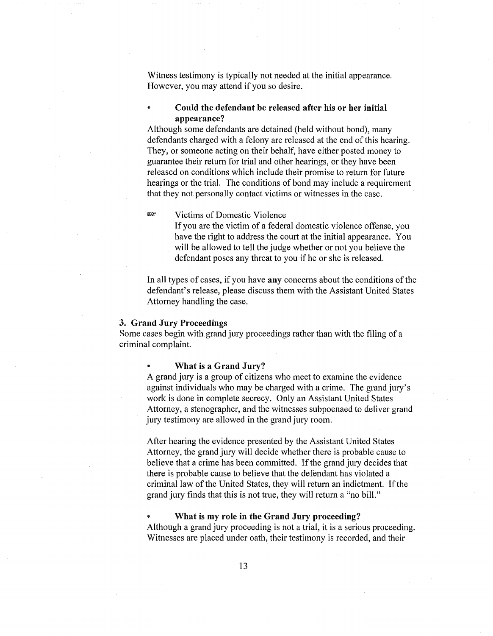Witness testimony is typically not needed at the initial appearance. However, you may attend if you so desire.

Could the defendant be released after his or her initial appearance?

Although some defendants are detained (held without bond), many defendants charged with a felony are released at the end of this hearing. They, or someone acting on their behalf, have either posted money to guarantee their return for trial and other hearings, or they have been released on conditions which include their promise to return for future hearings or the trial. The conditions of bond may include a requirement that they not personally contact victims or witnesses in the case.

næ Victims of Domestic Violence

> If you are the victim of a federal domestic violence offense, you have the right to address the court at the initial appearance. You will be allowed to tell the judge whether or not you believe the defendant poses any threat to you if he or she is released.

In all types of cases, if you have any concerns about the conditions of the defendant's release, please discuss them with the Assistant United States Attorney handling the case.

#### 3. Grand Jury Proceedings

Some cases begin with grand jury proceedings rather than with the filing of a criminal complaint.

### What is a Grand Jury?

A grand jury is a group of citizens who meet to examine the evidence against individuals who may be charged with a crime. The grand jury's work is done in complete secrecy. Only an Assistant United States Attorney, a stenographer, and the witnesses subpoenaed to deliver grand jury testimony are allowed in the grand jury room.

After hearing the evidence presented by the Assistant United States Attorney, the grand jury will decide whether there is probable cause to believe that a crime has been committed. If the grand jury decides that there is probable cause to believe that the defendant has violated a criminal law of the United States, they will return an indictment. If the grand jury finds that this is not true, they will return a "no bill."

What is my role in the Grand Jury proceeding?

Although a grand jury proceeding is not a trial, it is a serious proceeding. Witnesses are placed under oath, their testimony is recorded, and their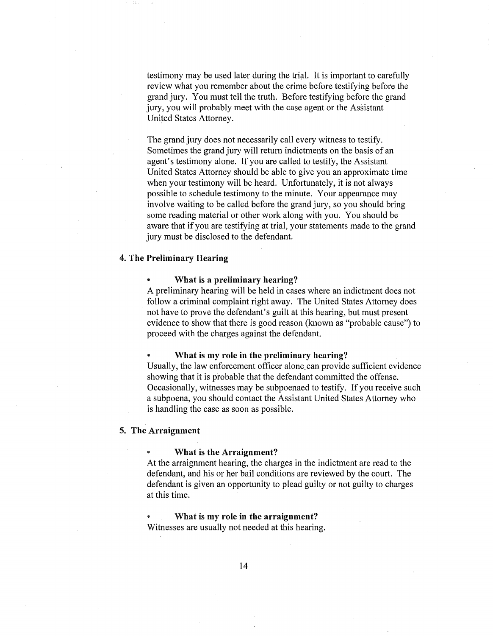testimony may be used later during the trial. It is important to carefully review what you remember about the crime before testifying before the grand jury. You must tell the truth. Before testifying before the grand jury, you will probably meet with the case agent or the Assistant United States Attorney.

The grand jury does not necessarily call every witness to testify. Sometimes the grand jury will return indictments on the basis of an agent's testimony alone. If you are called to testify, the Assistant United States Attorney should be able to give you an approximate time when your testimony will be heard. Unfortunately, it is not always possible to schedule testimony to the minute. Your appearance may involve waiting to be called before the grand jury, so you should bring some reading material or other work along with you. You should be aware that if you are testifying at trial, your statements made to the grand jury must be disclosed to the defendant.

### 4. The Preliminary Hearing

#### What is a preliminary hearing?

A preliminary hearing will be held in cases where an indictment does not follow a criminal complaint right away. The United States Attorney does not have to prove the defendant's guilt at this hearing, but must present evidence to show that there is good reason (known as "probable cause") to proceed with the charges against the defendant.

### What is my role in the preliminary hearing?

Usually, the law enforcement officer alone, can provide sufficient evidence showing that it is probable that the defendant committed the offense. Occasionally, witnesses may be subpoenaed to testify. If you receive such a subpoena, you should contact the Assistant United States Attorney who is handling the case as soon as possible.

### 5. The Arraignment

#### What is the Arraignment?

At the arraignment hearing, the charges in the indictment are read to the defendant, and his or her bail conditions are reviewed by the court. The defendant is given an opportunity to plead guilty or not guilty to charges at this time.

What is my role in the arraignment? Witnesses are usually not needed at this hearing.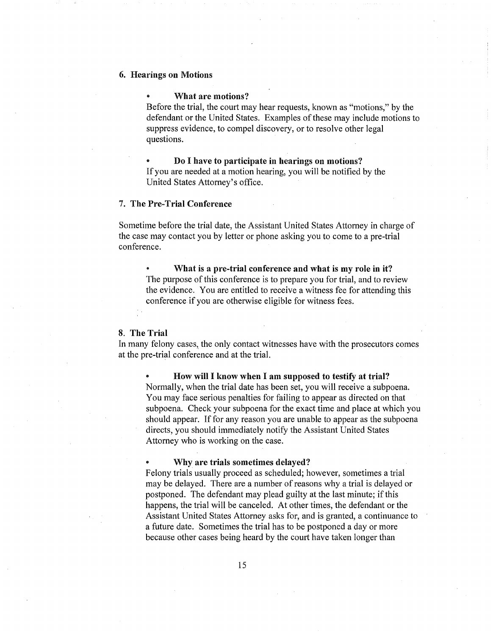### 6. Hearings on Motions

### What are motions?

Before the trial, the court may hear requests, known as "motions," by the defendant or the United States. Examples of these may include motions to suppress evidence, to compel discovery, or to resolve other legal questions.

Do I have to participate in hearings on motions? If you are needed at a motion hearing, you will be notified by the United States Attorney's office.

### 7. The Pre-Trial Conference

Sometime before the trial date, the Assistant United States Attorney in charge of the case may contact you by letter or phone asking you to come to a pre-trial conference.

What is a pre-trial conference and what is my role in it? The purpose of this conference is to prepare you for trial, and to review the evidence. You are entitled to receive a witness fee for attending this conference if you are otherwise eligible for witness fees.

### 8. The Trial

In many felony cases, the only contact witnesses have with the prosecutors comes at the pre-trial conference and at the trial.

How will I know when I am supposed to testify at trial? Normally, when the trial date has been set, you will receive a subpoena. You may face serious penalties for failing to appear as directed on that subpoena. Check your subpoena for the exact time and place at which you should appear. If for any reason you are unable to appear as the subpoena directs, you should immediately notify the Assistant United States Attorney who is working on the case.

### Why are trials sometimes delayed?

Felony trials usually proceed as scheduled; however, sometimes a trial may be delayed. There are a number of reasons why a trial is delayed or postponed. The defendant may plead guilty at the last minute; if this happens, the trial will be canceled. At other times, the defendant or the Assistant United States Attorney asks for, and is granted, a continuance to a future date. Sometimes the trial has to be postponed a day or more because other cases being heard by the court have taken longer than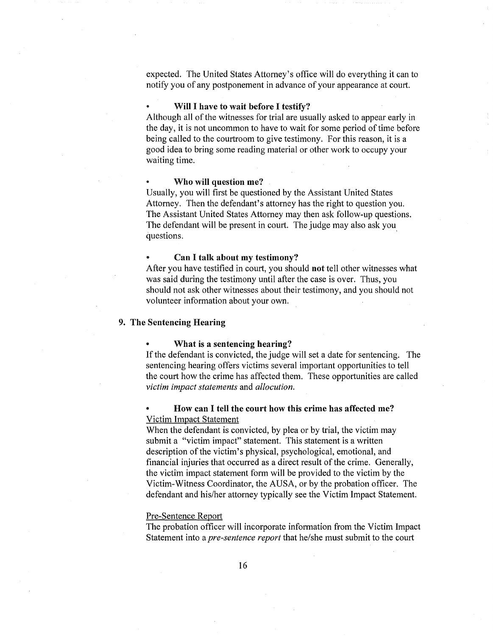expected. The United States Attorney's office will do everything it can to notify you of any postponement in advance of your appearance at court.

#### Will I have to wait before I testify?

Although all of the witnesses for trial are usually asked to appear early in the day, it is not uncommon to have to wait for some period of time before being called to the courtroom to give testimony. For this reason, it is a good idea to bring some reading material or other work to occupy your waiting time.

#### Who will question me?

Usually, you will first be questioned by the Assistant United States Attorney. Then the defendant's attorney has the right to question you. The Assistant United States Attorney may then ask follow-up questions. The defendant will be present in court. The judge may also ask you questions.

#### Can I talk about my testimony?

After you have testified in court, you should not tell other witnesses what was said during the testimony until after the case is over. Thus, you should not ask other witnesses about their testimony, and you should not volunteer information about your own.

# 9. The Sentencing Hearing

#### What is a sentencing hearing?

If the defendant is convicted, the judge will set a date for sentencing. The sentencing hearing offers victims several important opportunities to tell the court how the crime has affected them. These opportunities are called *victim impact statements* and *allocution.* 

# How can I tell the court how this crime has affected me? Victim Impact Statement

When the defendant is convicted, by plea or by trial, the victim may submit a "victim impact" statement. This statement is a written description of the victim's physical, psychological, emotional, and financial injuries that occurred as a direct result of the crime. Generally, the victim impact statement form will be provided to the victim by the Victim-Witness Coordinator, the AUSA, or by the probation officer. The defendant and his/her attorney typically see the Victim Impact Statement.

### Pre-Sentence Report

The probation officer will incorporate information from the Victim Impact Statement into a *pre-sentence report* that he/she must submit to the court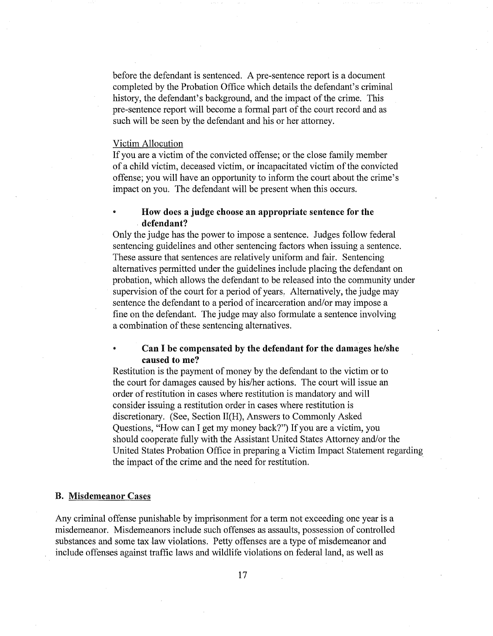before the defendant is sentenced. A pre-sentence report is a document completed by the Probation Office which details the defendant's criminal history, the defendant's background, and the impact of the crime. This pre-sentence report will become a formal part of the court record and as such will be seen by the defendant and his or her attorney.

### Victim Allocution

If you are a victim of the convicted offense; or the close family member of a child victim, deceased victim, or incapacitated victim of the convicted offense; you will have an opportunity to inform the court about the crime's impact on you. The defendant will be present when this occurs.

# How does a judge choose an appropriate sentence for the defendant?

Only the judge has the power to impose a sentence. Judges follow federal sentencing guidelines and other sentencing factors when issuing a sentence. These assure that sentences are relatively uniform and fair. Sentencing alternatives permitted under the guidelines include placing the defendant on probation, which allows the defendant to be released into the community under supervision of the court for a period of years. Alternatively, the judge may sentence the defendant to a period of incarceration and/or may impose a fine on the defendant. The judge may also formulate a sentence involving a combination of these sentencing alternatives.

# Can I be compensated by the defendant for the damages he/she caused to me?

Restitution is the payment of money by the defendant to the victim or to the court for damages caused by his/her actions. The court will issue an order of restitution in cases where restitution is mandatory and will consider issuing a restitution order in cases where restitution is discretionary. (See, Section II(H), Answers to Commonly Asked Questions, "How can I get my money back?") If you are a victim, you should cooperate fully with the Assistant United States Attorney and/or the United States Probation Office in preparing a Victim Impact Statement regarding the impact of the crime and the need for restitution.

#### B. Misdemeanor Cases

Any criminal offense punishable by imprisonment for a term not exceeding one year is a misdemeanor. Misdemeanors include such offenses as assaults, possession of controlled substances and some tax law violations. Petty offenses are a type of misdemeanor and include offenses against traffic laws and wildlife violations on federal land, as well as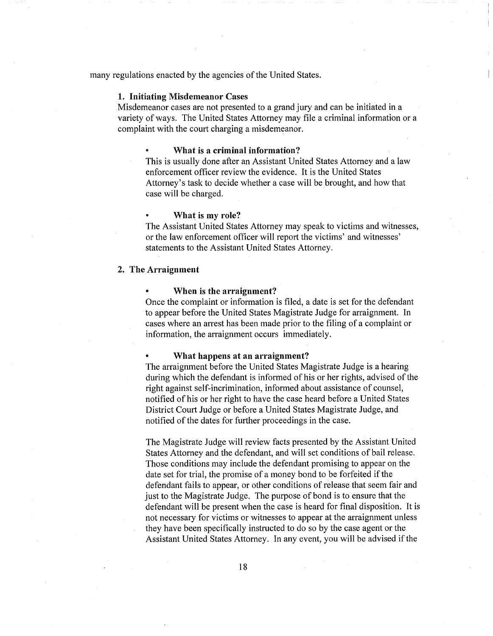many regulations enacted by the agencies of the United States.

#### 1. Initiating Misdemeanor Cases

Misdemeanor cases are not presented to a grand jury and can be initiated in a variety of ways. The United States Attorney may file a criminal information or a complaint with the court charging a misdemeanor.

### What is a criminal information?

This is usually done after an Assistant United States Attorney and a law enforcement officer review the evidence. It is the United States Attorney's task to decide whether a case will be brought, and how that case will be charged.

#### What is my role?

The Assistant United States Attorney may speak to victims and witnesses, or the law enforcement officer will report the victims' and witnesses' statements to the Assistant United States Attorney.

### 2. The Arraignment

#### When is the arraignment?

Once the complaint or information is filed, a date is set for the defendant to appear before the United States Magistrate Judge for arraignment. In cases where an arrest has been made prior to the filing of a complaint or information, the arraignment occurs immediately.

#### What happens at an arraignment?

The arraignment before the United States Magistrate Judge is a hearing during which the defendant is informed of his or her rights, advised of the right against self-incrimination, informed about assistance of counsel, notified of his or her right to have the case heard before a United States District Court Judge or before a United States Magistrate Judge, and notified of the dates for further proceedings in the case.

The Magistrate Judge will review facts presented by the Assistant United States Attorney and the defendant, and will set conditions of bail release. Those conditions may include the defendant promising to appear on the date set for trial, the promise of a money bond to be forfeited if the defendant fails to appear, or other conditions of release that seem fair and just to the Magistrate Judge. The purpose of bond is to ensure that the defendant will be present when the case is heard for final disposition. It is not necessary for victims or witnesses to appear at the arraignment unless they have been specifically instructed to do so by the case agent or the Assistant United States Attorney. In any event, you will be advised if the